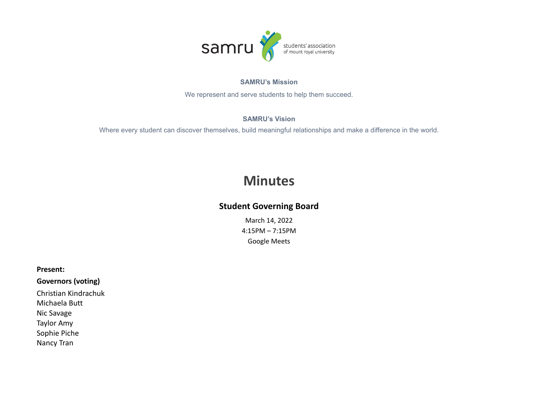

#### **SAMRU's Mission**

We represent and serve students to help them succeed.

#### **SAMRU's Vision**

Where every student can discover themselves, build meaningful relationships and make a difference in the world.

# **Minutes**

# **Student Governing Board**

March 14, 2022 4:15PM – 7:15PM Google Meets

#### **Present:**

## **Governors (voting)**

Christian Kindrachuk Michaela Butt Nic Savage Taylor Amy Sophie Piche Nancy Tran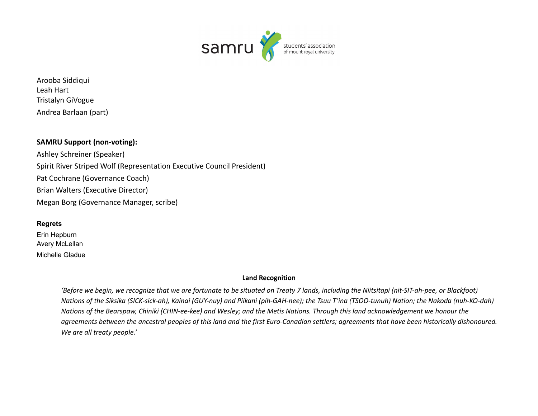

Arooba Siddiqui Leah Hart Tristalyn GiVogue Andrea Barlaan (part)

### **SAMRU Support (non-voting):**

Ashley Schreiner (Speaker) Spirit River Striped Wolf (Representation Executive Council President) Pat Cochrane (Governance Coach) Brian Walters (Executive Director) Megan Borg (Governance Manager, scribe)

#### **Regrets**

Erin Hepburn Avery McLellan Michelle Gladue

#### **Land Recognition**

'Before we begin, we recognize that we are fortunate to be situated on Treaty 7 lands, including the Niitsitapi (nit-SIT-ah-pee, or Blackfoot) Nations of the Siksika (SICK-sick-ah), Kainai (GUY-nuy) and Piikani (pih-GAH-nee); the Tsuu T'ina (TSOO-tunuh) Nation; the Nakoda (nuh-KO-dah) Nations of the Bearspaw, Chiniki (CHIN-ee-kee) and Wesley; and the Metis Nations. Through this land acknowledgement we honour the agreements between the ancestral peoples of this land and the first Euro-Canadian settlers; agreements that have been historically dishonoured. *We are all treaty people.'*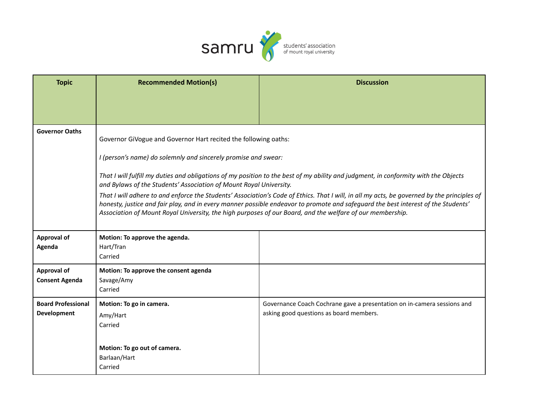

| <b>Topic</b>                                    | <b>Recommended Motion(s)</b>                                                                                                                                                                                                                                                                                                                                                                  | <b>Discussion</b>                                                                                                  |  |
|-------------------------------------------------|-----------------------------------------------------------------------------------------------------------------------------------------------------------------------------------------------------------------------------------------------------------------------------------------------------------------------------------------------------------------------------------------------|--------------------------------------------------------------------------------------------------------------------|--|
|                                                 |                                                                                                                                                                                                                                                                                                                                                                                               |                                                                                                                    |  |
| <b>Governor Oaths</b>                           | Governor GiVogue and Governor Hart recited the following oaths:                                                                                                                                                                                                                                                                                                                               |                                                                                                                    |  |
|                                                 | I (person's name) do solemnly and sincerely promise and swear:                                                                                                                                                                                                                                                                                                                                |                                                                                                                    |  |
|                                                 | That I will fulfill my duties and obligations of my position to the best of my ability and judgment, in conformity with the Objects<br>and Bylaws of the Students' Association of Mount Royal University.                                                                                                                                                                                     |                                                                                                                    |  |
|                                                 | That I will adhere to and enforce the Students' Association's Code of Ethics. That I will, in all my acts, be governed by the principles of<br>honesty, justice and fair play, and in every manner possible endeavor to promote and safeguard the best interest of the Students'<br>Association of Mount Royal University, the high purposes of our Board, and the welfare of our membership. |                                                                                                                    |  |
| Approval of<br>Agenda                           | Motion: To approve the agenda.<br>Hart/Tran<br>Carried                                                                                                                                                                                                                                                                                                                                        |                                                                                                                    |  |
| <b>Approval of</b><br><b>Consent Agenda</b>     | Motion: To approve the consent agenda<br>Savage/Amy<br>Carried                                                                                                                                                                                                                                                                                                                                |                                                                                                                    |  |
| <b>Board Professional</b><br><b>Development</b> | Motion: To go in camera.<br>Amy/Hart<br>Carried                                                                                                                                                                                                                                                                                                                                               | Governance Coach Cochrane gave a presentation on in-camera sessions and<br>asking good questions as board members. |  |
|                                                 | Motion: To go out of camera.<br>Barlaan/Hart<br>Carried                                                                                                                                                                                                                                                                                                                                       |                                                                                                                    |  |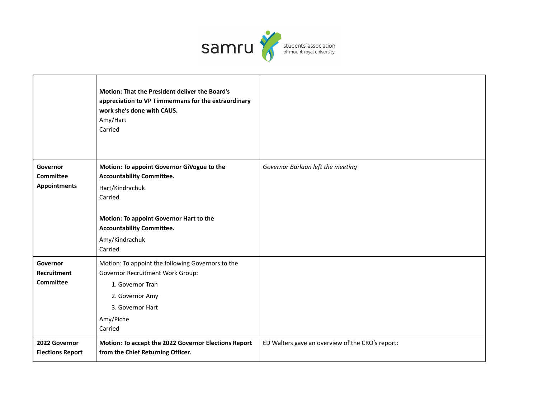

|                                                     | <b>Motion: That the President deliver the Board's</b><br>appreciation to VP Timmermans for the extraordinary<br>work she's done with CAUS.<br>Amy/Hart<br>Carried                                             |                                                  |
|-----------------------------------------------------|---------------------------------------------------------------------------------------------------------------------------------------------------------------------------------------------------------------|--------------------------------------------------|
| Governor<br><b>Committee</b><br><b>Appointments</b> | Motion: To appoint Governor GiVogue to the<br><b>Accountability Committee.</b><br>Hart/Kindrachuk<br>Carried<br>Motion: To appoint Governor Hart to the<br><b>Accountability Committee.</b><br>Amy/Kindrachuk | Governor Barlaan left the meeting                |
|                                                     | Carried                                                                                                                                                                                                       |                                                  |
| Governor<br>Recruitment<br><b>Committee</b>         | Motion: To appoint the following Governors to the<br>Governor Recruitment Work Group:<br>1. Governor Tran<br>2. Governor Amy<br>3. Governor Hart<br>Amy/Piche<br>Carried                                      |                                                  |
| 2022 Governor<br><b>Elections Report</b>            | Motion: To accept the 2022 Governor Elections Report<br>from the Chief Returning Officer.                                                                                                                     | ED Walters gave an overview of the CRO's report: |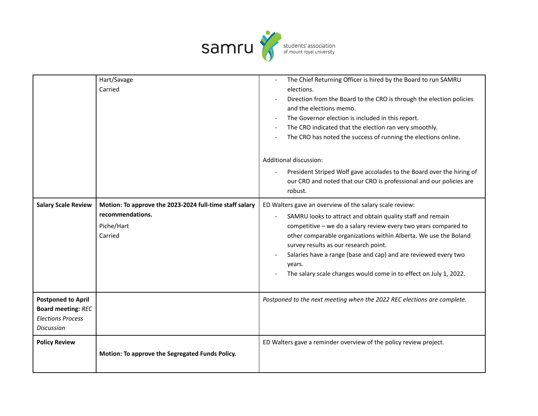

|                                                                                                         | Hart/Savage<br>Carried                                                                               | The Chief Returning Officer is hired by the Board to run SAMRU<br>elections.<br>Direction from the Board to the CRO is through the election policies<br>and the elections memo.<br>The Governor election is included in this report.<br>The CRO indicated that the election ran very smoothly.<br>The CRO has noted the success of running the elections online.<br>Additional discussion:                                                              |
|---------------------------------------------------------------------------------------------------------|------------------------------------------------------------------------------------------------------|---------------------------------------------------------------------------------------------------------------------------------------------------------------------------------------------------------------------------------------------------------------------------------------------------------------------------------------------------------------------------------------------------------------------------------------------------------|
|                                                                                                         |                                                                                                      | President Striped Wolf gave accolades to the Board over the hiring of<br>our CRO and noted that our CRO is professional and our policies are<br>robust.                                                                                                                                                                                                                                                                                                 |
| <b>Salary Scale Review</b>                                                                              | Motion: To approve the 2023-2024 full-time staff salary<br>recommendations.<br>Piche/Hart<br>Carried | ED Walters gave an overview of the salary scale review:<br>SAMRU looks to attract and obtain quality staff and remain<br>competitive - we do a salary review every two years compared to<br>other comparable organizations within Alberta. We use the Boland<br>survey results as our research point.<br>Salaries have a range (base and cap) and are reviewed every two<br>years.<br>The salary scale changes would come in to effect on July 1, 2022. |
| <b>Postponed to April</b><br><b>Board meeting: REC</b><br><b>Elections Process</b><br><b>Discussion</b> |                                                                                                      | Postponed to the next meeting when the 2022 REC elections are complete.                                                                                                                                                                                                                                                                                                                                                                                 |
| <b>Policy Review</b>                                                                                    | Motion: To approve the Segregated Funds Policy.                                                      | ED Walters gave a reminder overview of the policy review project.                                                                                                                                                                                                                                                                                                                                                                                       |